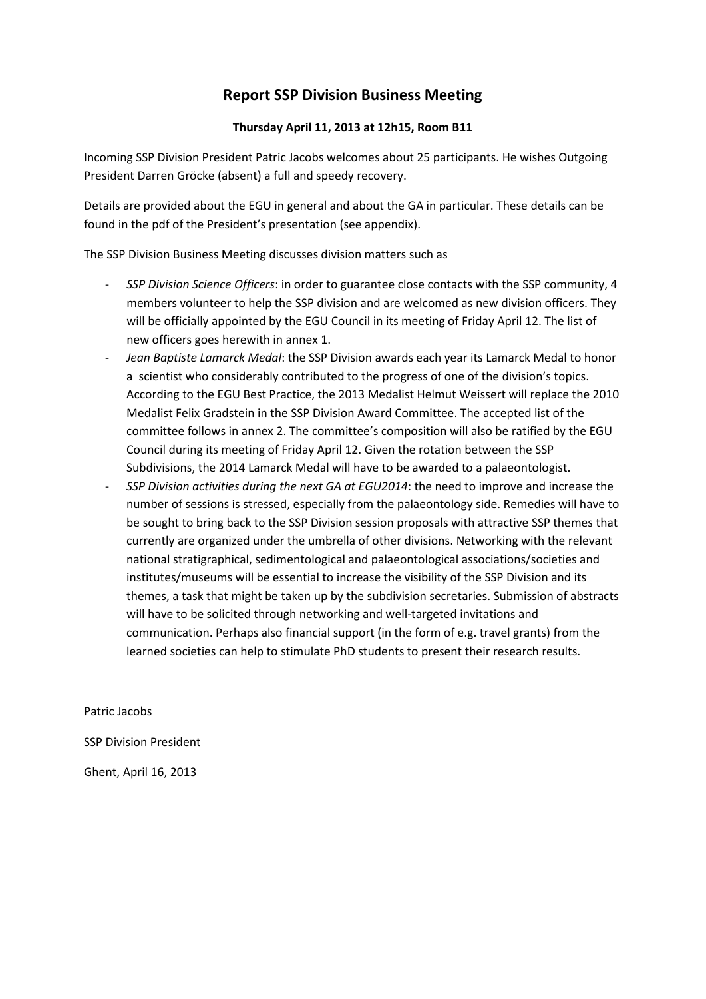# **Report SSP Division Business Meeting**

#### **Thursday April 11, 2013 at 12h15, Room B11**

Incoming SSP Division President Patric Jacobs welcomes about 25 participants. He wishes Outgoing President Darren Gröcke (absent) a full and speedy recovery.

Details are provided about the EGU in general and about the GA in particular. These details can be found in the pdf of the President's presentation (see appendix).

The SSP Division Business Meeting discusses division matters such as

- *SSP Division Science Officers*: in order to guarantee close contacts with the SSP community, 4 members volunteer to help the SSP division and are welcomed as new division officers. They will be officially appointed by the EGU Council in its meeting of Friday April 12. The list of new officers goes herewith in annex 1.
- *Jean Baptiste Lamarck Medal*: the SSP Division awards each year its Lamarck Medal to honor a scientist who considerably contributed to the progress of one of the division's topics. According to the EGU Best Practice, the 2013 Medalist Helmut Weissert will replace the 2010 Medalist Felix Gradstein in the SSP Division Award Committee. The accepted list of the committee follows in annex 2. The committee's composition will also be ratified by the EGU Council during its meeting of Friday April 12. Given the rotation between the SSP Subdivisions, the 2014 Lamarck Medal will have to be awarded to a palaeontologist.
- *SSP Division activities during the next GA at EGU2014*: the need to improve and increase the number of sessions is stressed, especially from the palaeontology side. Remedies will have to be sought to bring back to the SSP Division session proposals with attractive SSP themes that currently are organized under the umbrella of other divisions. Networking with the relevant national stratigraphical, sedimentological and palaeontological associations/societies and institutes/museums will be essential to increase the visibility of the SSP Division and its themes, a task that might be taken up by the subdivision secretaries. Submission of abstracts will have to be solicited through networking and well-targeted invitations and communication. Perhaps also financial support (in the form of e.g. travel grants) from the learned societies can help to stimulate PhD students to present their research results.

Patric Jacobs

SSP Division President

Ghent, April 16, 2013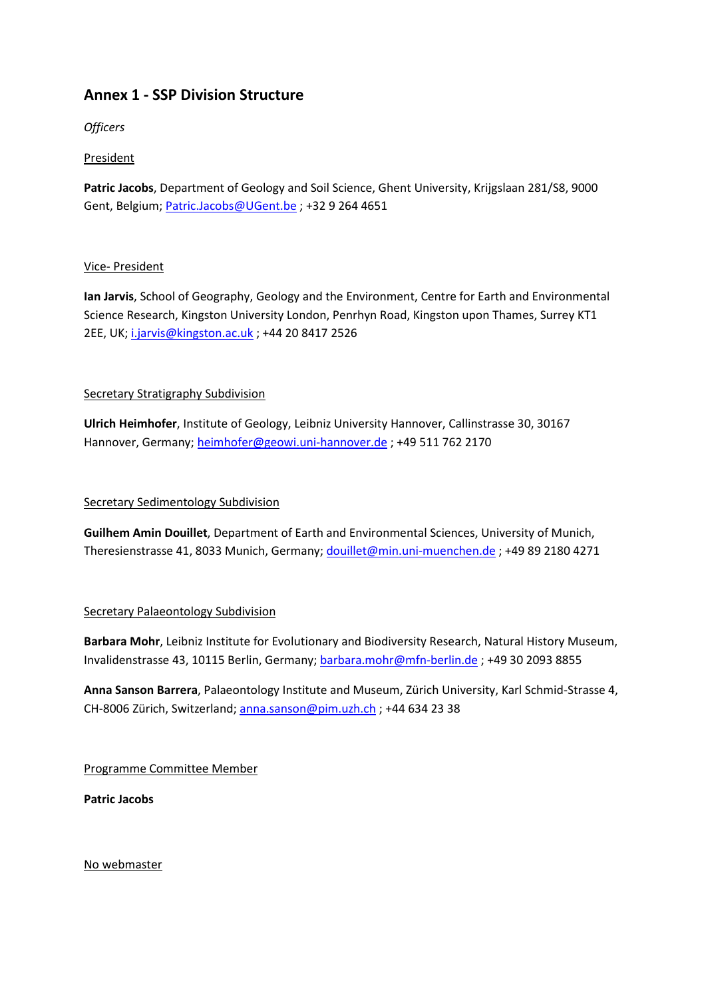# **Annex 1 - SSP Division Structure**

*Officers*

## President

**Patric Jacobs**, Department of Geology and Soil Science, Ghent University, Krijgslaan 281/S8, 9000 Gent, Belgium[; Patric.Jacobs@UGent.be](mailto:Patric.Jacobs@UGent.be) ; +32 9 264 4651

### Vice- President

**Ian Jarvis**, School of Geography, Geology and the Environment, Centre for Earth and Environmental Science Research, Kingston University London, Penrhyn Road, Kingston upon Thames, Surrey KT1 2EE, UK[; i.jarvis@kingston.ac.uk](mailto:i.jarvis@kingston.ac.uk) ; +44 20 8417 2526

### Secretary Stratigraphy Subdivision

**Ulrich Heimhofer**, Institute of Geology, Leibniz University Hannover, Callinstrasse 30, 30167 Hannover, Germany; [heimhofer@geowi.uni-hannover.de](mailto:heimhofer@geowi.uni-hannover.de) ; +49 511 762 2170

#### Secretary Sedimentology Subdivision

**Guilhem Amin Douillet**, Department of Earth and Environmental Sciences, University of Munich, Theresienstrasse 41, 8033 Munich, Germany; [douillet@min.uni-muenchen.de](mailto:douillet@min.uni-muenchen.de) ; +49 89 2180 4271

### Secretary Palaeontology Subdivision

**Barbara Mohr**, Leibniz Institute for Evolutionary and Biodiversity Research, Natural History Museum, Invalidenstrasse 43, 10115 Berlin, Germany; [barbara.mohr@mfn-berlin.de](mailto:barbara.mohr@mfn-berlin.de) ; +49 30 2093 8855

**Anna Sanson Barrera**, Palaeontology Institute and Museum, Zürich University, Karl Schmid-Strasse 4, CH-8006 Zürich, Switzerland; [anna.sanson@pim.uzh.ch](mailto:anna.sanson@pim.uzh.ch) ; +44 634 23 38

Programme Committee Member

**Patric Jacobs**

No webmaster